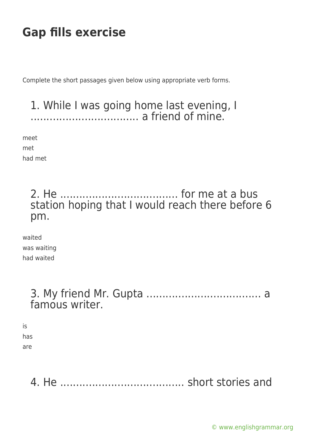Complete the short passages given below using appropriate verb forms.

#### 1. While I was going home last evening, I .................................. a friend of mine.

meet

met

had met

## 2. He ..................................... for me at a bus station hoping that I would reach there before 6 pm.

waited was waiting had waited

#### 3. My friend Mr. Gupta .................................... a famous writer.

is has are

4. He ....................................... short stories and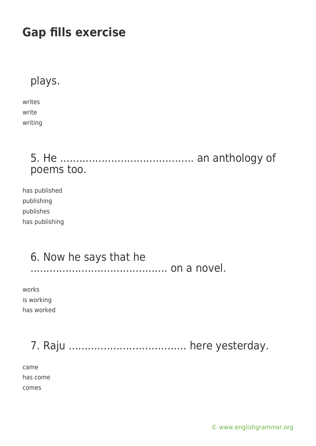plays.

writes write writing

## 5. He .......................................... an anthology of poems too.

has published publishing publishes has publishing

## 6. Now he says that he

........................................... on a novel.

works is working has worked

7. Raju ..................................... here yesterday.

came has come comes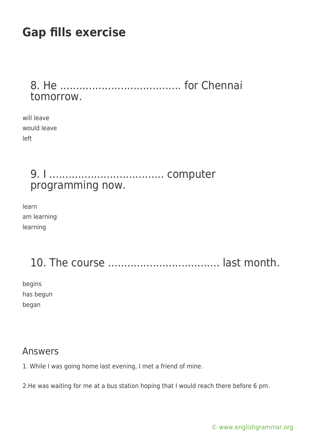8. He ...................................... for Chennai tomorrow.

will leave would leave left

## 9. I .................................... computer programming now.

learn am learning learning

## 10. The course ................................... last month.

begins has begun began

#### Answers

1. While I was going home last evening, I met a friend of mine.

2.He was waiting for me at a bus station hoping that I would reach there before 6 pm.